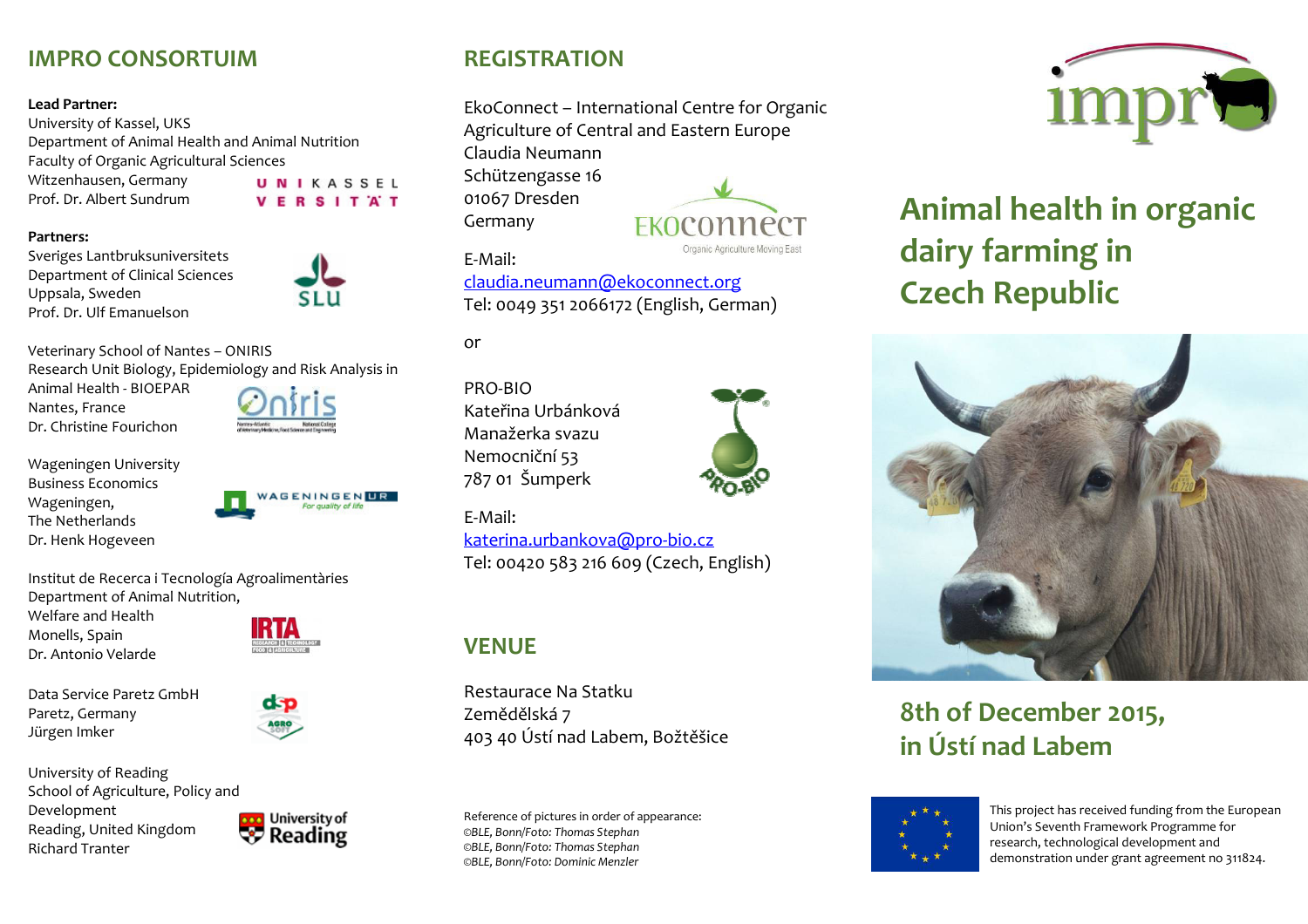## **IMPRO CONSORTUIM**

#### **Lead Partner:**

University of Kassel, UKS Department of Animal Health and Animal Nutrition Faculty of Organic Agricultural Sciences Witzenhausen, Germany UNIKASSEL Prof. Dr. Albert Sundrum **VERSITAT** 



Sveriges Lantbruksuniversitets Department of Clinical Sciences Uppsala, Sweden Prof. Dr. Ulf Emanuelson



Veterinary School of Nantes – ONIRIS Research Unit Biology, Epidemiology and Risk Analysis in

Animal Health - BIOEPAR Nantes, France Dr. Christine Fourichon

Wageningen University Business Economics Wageningen, The Netherlands Dr. Henk Hogeveen

**ENINGENTR** 

Institut de Recerca i Tecnología Agroalimentàries Department of Animal Nutrition,

Welfare and Health Monells, Spain Dr. Antonio Velarde

d-p

Data Service Paretz GmbH Paretz, Germany Jürgen Imker

University of Reading School of Agriculture, Policy and Development Reading, United Kingdom Richard Tranter



## **REGISTRATION**

EkoConnect – International Centre for Organic Agriculture of Central and Eastern Europe Claudia Neumann Schützengasse 16 01067 Dresden Germany EKOCONNECT

E-Mail:

claudia.neumann@ekoconnect.orgTel: 0049 351 2066172 (English, German)

or

PRO-BIO Kateřina Urbánková Manažerka svazu Nemocniční 53 787 01 Šumperk



Organic Agriculture Moving East

E-Mail: katerina.urbankova@pro-bio.czTel: 00420 583 216 609 (Czech, English)

## **VENUE**

Restaurace Na Statku Zemědělská 7 403 40 Ústí nad Labem, Božtěšice

Reference of pictures in order of appearance: *©BLE, Bonn/Foto: Thomas Stephan ©BLE, Bonn/Foto: Thomas Stephan ©BLE, Bonn/Foto: Dominic Menzler* 



# **Animal health in organic dairy farming in Czech Republic**



**8th of December 2015, in Ústí nad Labem** 



This project has received funding from the EuropeanUnion's Seventh Framework Programme for research, technological development and demonstration under grant agreement no 311824.